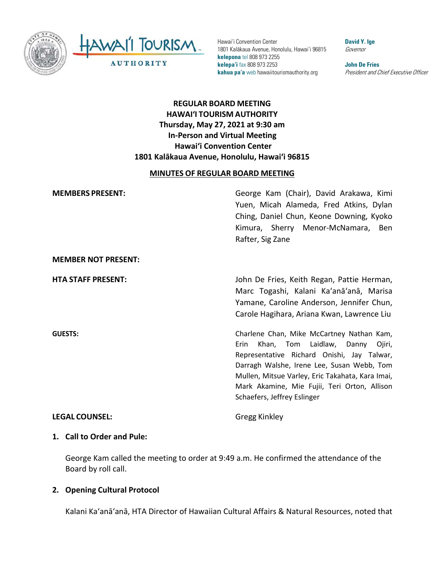

HAWAII TOURISM **AUTHORITY** 

Hawai'i Convention Center 1801 Kalākaua Avenue, Honolulu, Hawai'i 96815 **kelepona** tel 808 973 2255 **kelepa'i** fax 808 973 2253 **kahua pa'a** web hawaiitourismauthority.org

**David Y. Ige** Governor

**John De Fries** President and Chief Executive Officer

# **REGULAR BOARD MEETING HAWAI'I TOURISM AUTHORITY Thursday, May 27, 2021 at 9:30 am In-Person and Virtual Meeting Hawai'i Convention Center 1801 Kalākaua Avenue, Honolulu, Hawai'i 96815**

### **MINUTES OF REGULAR BOARD MEETING**

| <b>MEMBERS PRESENT:</b>    | George Kam (Chair), David Arakawa, Kimi<br>Yuen, Micah Alameda, Fred Atkins, Dylan<br>Ching, Daniel Chun, Keone Downing, Kyoko<br>Kimura, Sherry Menor-McNamara, Ben<br>Rafter, Sig Zane                                                                                                                               |
|----------------------------|------------------------------------------------------------------------------------------------------------------------------------------------------------------------------------------------------------------------------------------------------------------------------------------------------------------------|
| <b>MEMBER NOT PRESENT:</b> |                                                                                                                                                                                                                                                                                                                        |
| <b>HTA STAFF PRESENT:</b>  | John De Fries, Keith Regan, Pattie Herman,<br>Marc Togashi, Kalani Ka'anā'anā, Marisa<br>Yamane, Caroline Anderson, Jennifer Chun,<br>Carole Hagihara, Ariana Kwan, Lawrence Liu                                                                                                                                       |
| <b>GUESTS:</b>             | Charlene Chan, Mike McCartney Nathan Kam,<br>Khan, Tom Laidlaw, Danny<br>Erin<br>Ojiri,<br>Representative Richard Onishi, Jay Talwar,<br>Darragh Walshe, Irene Lee, Susan Webb, Tom<br>Mullen, Mitsue Varley, Eric Takahata, Kara Imai,<br>Mark Akamine, Mie Fujii, Teri Orton, Allison<br>Schaefers, Jeffrey Eslinger |
| <b>LEGAL COUNSEL:</b>      | Gregg Kinkley                                                                                                                                                                                                                                                                                                          |

#### **1. Call to Order and Pule:**

George Kam called the meeting to order at 9:49 a.m. He confirmed the attendance of the Board by roll call.

## **2. Opening Cultural Protocol**

Kalani Ka'anā'anā, HTA Director of Hawaiian Cultural Affairs & Natural Resources, noted that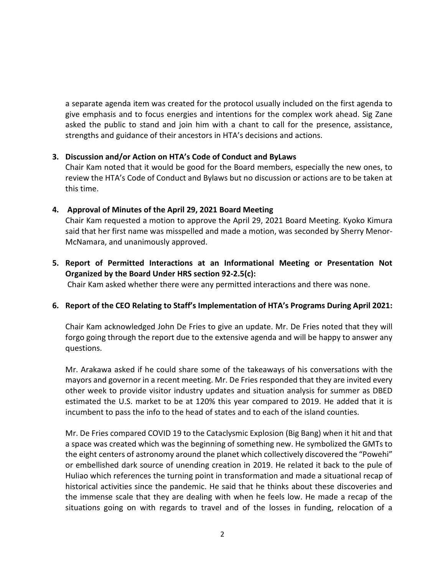a separate agenda item was created for the protocol usually included on the first agenda to give emphasis and to focus energies and intentions for the complex work ahead. Sig Zane asked the public to stand and join him with a chant to call for the presence, assistance, strengths and guidance of their ancestors in HTA's decisions and actions.

### **3. Discussion and/or Action on HTA's Code of Conduct and ByLaws**

Chair Kam noted that it would be good for the Board members, especially the new ones, to review the HTA's Code of Conduct and Bylaws but no discussion or actions are to be taken at this time.

### **4. Approval of Minutes of the April 29, 2021 Board Meeting**

 Chair Kam requested a motion to approve the April 29, 2021 Board Meeting. Kyoko Kimura said that her first name was misspelled and made a motion, was seconded by Sherry Menor-McNamara, and unanimously approved.

**5. Report of Permitted Interactions at an Informational Meeting or Presentation Not Organized by the Board Under HRS section 92-2.5(c):**

Chair Kam asked whether there were any permitted interactions and there was none.

## **6. Report of the CEO Relating to Staff's Implementation of HTA's Programs During April 2021:**

Chair Kam acknowledged John De Fries to give an update. Mr. De Fries noted that they will forgo going through the report due to the extensive agenda and will be happy to answer any questions.

Mr. Arakawa asked if he could share some of the takeaways of his conversations with the mayors and governor in a recent meeting. Mr. De Fries responded that they are invited every other week to provide visitor industry updates and situation analysis for summer as DBED estimated the U.S. market to be at 120% this year compared to 2019. He added that it is incumbent to pass the info to the head of states and to each of the island counties.

Mr. De Fries compared COVID 19 to the Cataclysmic Explosion (Big Bang) when it hit and that a space was created which was the beginning of something new. He symbolized the GMTs to the eight centers of astronomy around the planet which collectively discovered the "Powehi" or embellished dark source of unending creation in 2019. He related it back to the pule of Huliao which references the turning point in transformation and made a situational recap of historical activities since the pandemic. He said that he thinks about these discoveries and the immense scale that they are dealing with when he feels low. He made a recap of the situations going on with regards to travel and of the losses in funding, relocation of a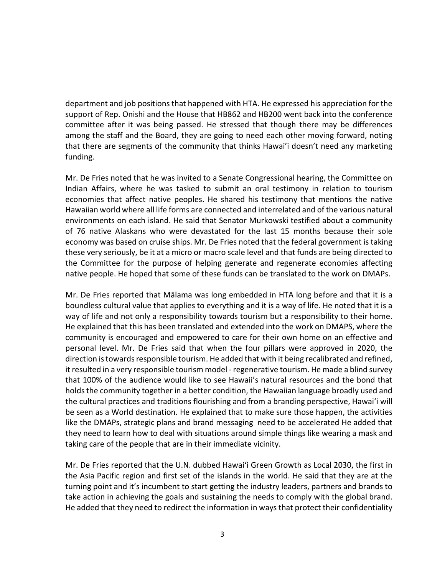department and job positions that happened with HTA. He expressed his appreciation for the support of Rep. Onishi and the House that HB862 and HB200 went back into the conference committee after it was being passed. He stressed that though there may be differences among the staff and the Board, they are going to need each other moving forward, noting that there are segments of the community that thinks Hawai'i doesn't need any marketing funding.

Mr. De Fries noted that he was invited to a Senate Congressional hearing, the Committee on Indian Affairs, where he was tasked to submit an oral testimony in relation to tourism economies that affect native peoples. He shared his testimony that mentions the native Hawaiian world where all life forms are connected and interrelated and of the various natural environments on each island. He said that Senator Murkowski testified about a community of 76 native Alaskans who were devastated for the last 15 months because their sole economy was based on cruise ships. Mr. De Fries noted that the federal government is taking these very seriously, be it at a micro or macro scale level and that funds are being directed to the Committee for the purpose of helping generate and regenerate economies affecting native people. He hoped that some of these funds can be translated to the work on DMAPs.

Mr. De Fries reported that Mālama was long embedded in HTA long before and that it is a boundless cultural value that applies to everything and it is a way of life. He noted that it is a way of life and not only a responsibility towards tourism but a responsibility to their home. He explained that this has been translated and extended into the work on DMAPS, where the community is encouraged and empowered to care for their own home on an effective and personal level. Mr. De Fries said that when the four pillars were approved in 2020, the direction is towards responsible tourism. He added that with it being recalibrated and refined, it resulted in a very responsible tourism model - regenerative tourism. He made a blind survey that 100% of the audience would like to see Hawaii's natural resources and the bond that holds the community together in a better condition, the Hawaiian language broadly used and the cultural practices and traditions flourishing and from a branding perspective, Hawai'i will be seen as a World destination. He explained that to make sure those happen, the activities like the DMAPs, strategic plans and brand messaging need to be accelerated He added that they need to learn how to deal with situations around simple things like wearing a mask and taking care of the people that are in their immediate vicinity.

Mr. De Fries reported that the U.N. dubbed Hawai'i Green Growth as Local 2030, the first in the Asia Pacific region and first set of the islands in the world. He said that they are at the turning point and it's incumbent to start getting the industry leaders, partners and brands to take action in achieving the goals and sustaining the needs to comply with the global brand. He added that they need to redirect the information in ways that protect their confidentiality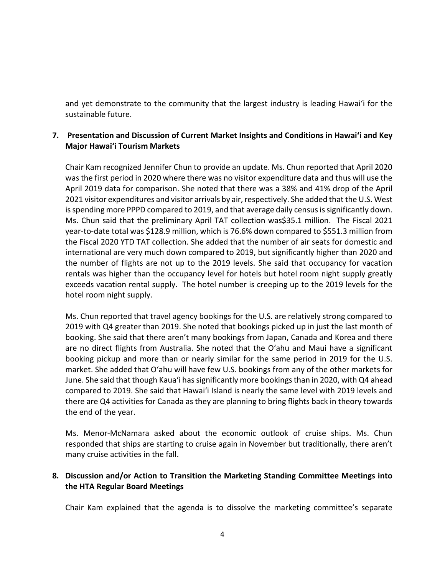and yet demonstrate to the community that the largest industry is leading Hawai'i for the sustainable future.

# **7. Presentation and Discussion of Current Market Insights and Conditions in Hawai'i and Key Major Hawai'i Tourism Markets**

Chair Kam recognized Jennifer Chun to provide an update. Ms. Chun reported that April 2020 was the first period in 2020 where there was no visitor expenditure data and thus will use the April 2019 data for comparison. She noted that there was a 38% and 41% drop of the April 2021 visitor expenditures and visitor arrivals by air, respectively. She added that the U.S. West is spending more PPPD compared to 2019, and that average daily census issignificantly down. Ms. Chun said that the preliminary April TAT collection was\$35.1 million. The Fiscal 2021 year-to-date total was \$128.9 million, which is 76.6% down compared to \$551.3 million from the Fiscal 2020 YTD TAT collection. She added that the number of air seats for domestic and international are very much down compared to 2019, but significantly higher than 2020 and the number of flights are not up to the 2019 levels. She said that occupancy for vacation rentals was higher than the occupancy level for hotels but hotel room night supply greatly exceeds vacation rental supply. The hotel number is creeping up to the 2019 levels for the hotel room night supply.

Ms. Chun reported that travel agency bookings for the U.S. are relatively strong compared to 2019 with Q4 greater than 2019. She noted that bookings picked up in just the last month of booking. She said that there aren't many bookings from Japan, Canada and Korea and there are no direct flights from Australia. She noted that the O'ahu and Maui have a significant booking pickup and more than or nearly similar for the same period in 2019 for the U.S. market. She added that O'ahu will have few U.S. bookings from any of the other markets for June. She said that though Kaua'i has significantly more bookings than in 2020, with Q4 ahead compared to 2019. She said that Hawai'i Island is nearly the same level with 2019 levels and there are Q4 activities for Canada as they are planning to bring flights back in theory towards the end of the year.

Ms. Menor-McNamara asked about the economic outlook of cruise ships. Ms. Chun responded that ships are starting to cruise again in November but traditionally, there aren't many cruise activities in the fall.

## **8. Discussion and/or Action to Transition the Marketing Standing Committee Meetings into the HTA Regular Board Meetings**

Chair Kam explained that the agenda is to dissolve the marketing committee's separate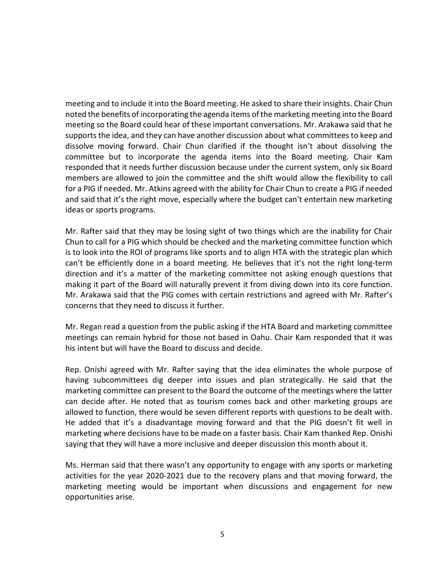meeting and to include it into the Board meeting. He asked to share their insights. Chair Chun noted the benefits of incorporating the agenda items of the marketing meeting into the Board meeting so the Board could hear of these important conversations. Mr. Arakawa said that he supports the idea, and they can have another discussion about what committees to keep and dissolve moving forward. Chair Chun clarified if the thought isn't about dissolving the committee but to incorporate the agenda items into the Board meeting. Chair Kam responded that it needs further discussion because under the current system, only six Board members are allowed to join the committee and the shift would allow the flexibility to call for a PIG if needed. Mr. Atkins agreed with the ability for Chair Chun to create a PIG if needed and said that it's the right move, especially where the budget can't entertain new marketing ideas or sports programs.

Mr. Rafter said that they may be losing sight of two things which are the inability for Chair Chun to call for a PIG which should be checked and the marketing committee function which is to look into the ROI of programs like sports and to align HTA with the strategic plan which can't be efficiently done in a board meeting. He believes that it's not the right long-term direction and it's a matter of the marketing committee not asking enough questions that making it part of the Board will naturally prevent it from diving down into its core function. Mr. Arakawa said that the PIG comes with certain restrictions and agreed with Mr. Rafter's concerns that they need to discuss it further.

Mr. Regan read a question from the public asking if the HTA Board and marketing committee meetings can remain hybrid for those not based in Oahu. Chair Kam responded that it was his intent but will have the Board to discuss and decide.

Rep. Onishi agreed with Mr. Rafter saying that the idea eliminates the whole purpose of having subcommittees dig deeper into issues and plan strategically. He said that the marketing committee can present to the Board the outcome of the meetings where the latter can decide after. He noted that as tourism comes back and other marketing groups are allowed to function, there would be seven different reports with questions to be dealt with. He added that it's a disadvantage moving forward and that the PIG doesn't fit well in marketing where decisions have to be made on a faster basis. Chair Kam thanked Rep. Onishi saying that they will have a more inclusive and deeper discussion this month about it.

Ms. Herman said that there wasn't any opportunity to engage with any sports or marketing activities for the year 2020-2021 due to the recovery plans and that moving forward, the marketing meeting would be important when discussions and engagement for new opportunities arise.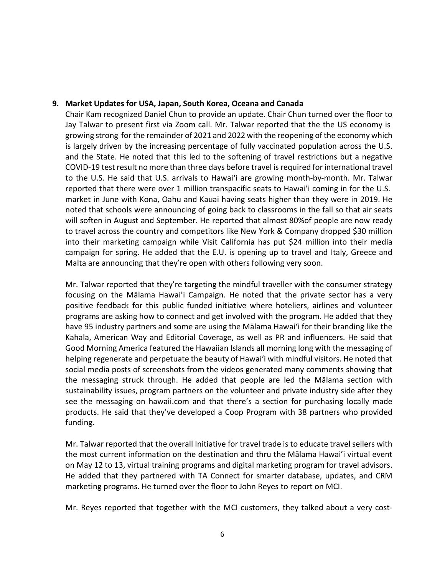#### **9. Market Updates for USA, Japan, South Korea, Oceana and Canada**

Chair Kam recognized Daniel Chun to provide an update. Chair Chun turned over the floor to Jay Talwar to present first via Zoom call. Mr. Talwar reported that the the US economy is growing strong forthe remainder of 2021 and 2022 with the reopening of the economy which is largely driven by the increasing percentage of fully vaccinated population across the U.S. and the State. He noted that this led to the softening of travel restrictions but a negative COVID-19 test result no more than three days before travel is required for international travel to the U.S. He said that U.S. arrivals to Hawai'i are growing month-by-month. Mr. Talwar reported that there were over 1 million transpacific seats to Hawai'i coming in for the U.S. market in June with Kona, Oahu and Kauai having seats higher than they were in 2019. He noted that schools were announcing of going back to classrooms in the fall so that air seats will soften in August and September. He reported that almost 80%of people are now ready to travel across the country and competitors like New York & Company dropped \$30 million into their marketing campaign while Visit California has put \$24 million into their media campaign for spring. He added that the E.U. is opening up to travel and Italy, Greece and Malta are announcing that they're open with others following very soon.

Mr. Talwar reported that they're targeting the mindful traveller with the consumer strategy focusing on the Mālama Hawai'i Campaign. He noted that the private sector has a very positive feedback for this public funded initiative where hoteliers, airlines and volunteer programs are asking how to connect and get involved with the program. He added that they have 95 industry partners and some are using the Mālama Hawai'i for their branding like the Kahala, American Way and Editorial Coverage, as well as PR and influencers. He said that Good Morning America featured the Hawaiian Islands all morning long with the messaging of helping regenerate and perpetuate the beauty of Hawai'i with mindful visitors. He noted that social media posts of screenshots from the videos generated many comments showing that the messaging struck through. He added that people are led the Mālama section with sustainability issues, program partners on the volunteer and private industry side after they see the messaging on hawaii.com and that there's a section for purchasing locally made products. He said that they've developed a Coop Program with 38 partners who provided funding.

Mr. Talwar reported that the overall Initiative for travel trade is to educate travel sellers with the most current information on the destination and thru the Mālama Hawai'i virtual event on May 12 to 13, virtual training programs and digital marketing program for travel advisors. He added that they partnered with TA Connect for smarter database, updates, and CRM marketing programs. He turned over the floor to John Reyes to report on MCI.

Mr. Reyes reported that together with the MCI customers, they talked about a very cost-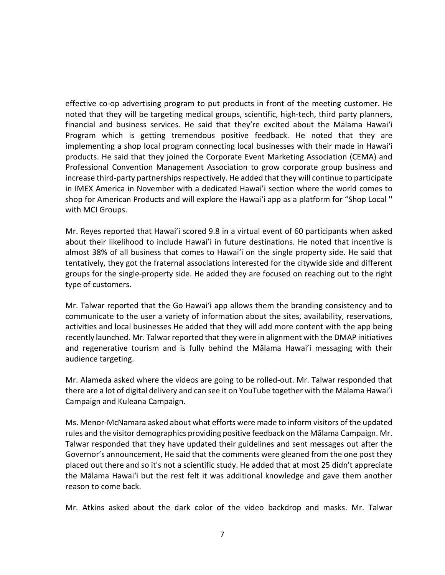effective co-op advertising program to put products in front of the meeting customer. He noted that they will be targeting medical groups, scientific, high-tech, third party planners, financial and business services. He said that they're excited about the Mālama Hawai'i Program which is getting tremendous positive feedback. He noted that they are implementing a shop local program connecting local businesses with their made in Hawai'i products. He said that they joined the Corporate Event Marketing Association (CEMA) and Professional Convention Management Association to grow corporate group business and increase third-party partnerships respectively. He added that they will continue to participate in IMEX America in November with a dedicated Hawai'i section where the world comes to shop for American Products and will explore the Hawai'i app as a platform for "Shop Local '' with MCI Groups.

Mr. Reyes reported that Hawai'i scored 9.8 in a virtual event of 60 participants when asked about their likelihood to include Hawai'i in future destinations. He noted that incentive is almost 38% of all business that comes to Hawai'i on the single property side. He said that tentatively, they got the fraternal associations interested for the citywide side and different groups for the single-property side. He added they are focused on reaching out to the right type of customers.

Mr. Talwar reported that the Go Hawai'i app allows them the branding consistency and to communicate to the user a variety of information about the sites, availability, reservations, activities and local businesses He added that they will add more content with the app being recently launched. Mr. Talwar reported that they were in alignment with the DMAP initiatives and regenerative tourism and is fully behind the Mālama Hawai'i messaging with their audience targeting.

Mr. Alameda asked where the videos are going to be rolled-out. Mr. Talwar responded that there are a lot of digital delivery and can see it on YouTube together with the Mālama Hawai'i Campaign and Kuleana Campaign.

Ms. Menor-McNamara asked about what efforts were made to inform visitors of the updated rules and the visitor demographics providing positive feedback on the Mālama Campaign. Mr. Talwar responded that they have updated their guidelines and sent messages out after the Governor's announcement, He said that the comments were gleaned from the one post they placed out there and so it's not a scientific study. He added that at most 25 didn't appreciate the Mālama Hawai'i but the rest felt it was additional knowledge and gave them another reason to come back.

Mr. Atkins asked about the dark color of the video backdrop and masks. Mr. Talwar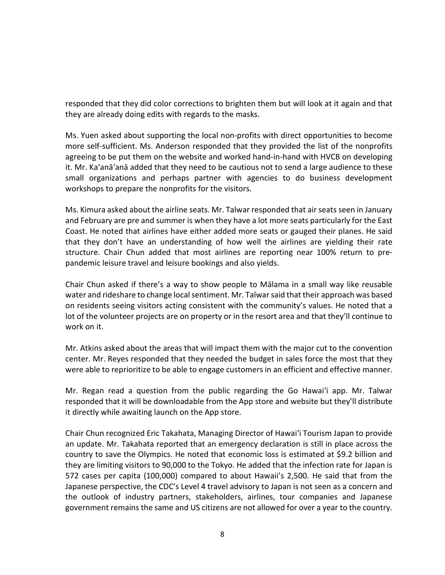responded that they did color corrections to brighten them but will look at it again and that they are already doing edits with regards to the masks.

Ms. Yuen asked about supporting the local non-profits with direct opportunities to become more self-sufficient. Ms. Anderson responded that they provided the list of the nonprofits agreeing to be put them on the website and worked hand-in-hand with HVCB on developing it. Mr. Ka'anā'anā added that they need to be cautious not to send a large audience to these small organizations and perhaps partner with agencies to do business development workshops to prepare the nonprofits for the visitors.

Ms. Kimura asked about the airline seats. Mr. Talwar responded that air seats seen in January and February are pre and summer is when they have a lot more seats particularly for the East Coast. He noted that airlines have either added more seats or gauged their planes. He said that they don't have an understanding of how well the airlines are yielding their rate structure. Chair Chun added that most airlines are reporting near 100% return to prepandemic leisure travel and leisure bookings and also yields.

Chair Chun asked if there's a way to show people to Mālama in a small way like reusable water and rideshare to change local sentiment. Mr. Talwar said that their approach was based on residents seeing visitors acting consistent with the community's values. He noted that a lot of the volunteer projects are on property or in the resort area and that they'll continue to work on it.

Mr. Atkins asked about the areas that will impact them with the major cut to the convention center. Mr. Reyes responded that they needed the budget in sales force the most that they were able to reprioritize to be able to engage customers in an efficient and effective manner.

Mr. Regan read a question from the public regarding the Go Hawai'i app. Mr. Talwar responded that it will be downloadable from the App store and website but they'll distribute it directly while awaiting launch on the App store.

Chair Chun recognized Eric Takahata, Managing Director of Hawai'i Tourism Japan to provide an update. Mr. Takahata reported that an emergency declaration is still in place across the country to save the Olympics. He noted that economic loss is estimated at \$9.2 billion and they are limiting visitors to 90,000 to the Tokyo. He added that the infection rate for Japan is 572 cases per capita (100,000) compared to about Hawaii's 2,500. He said that from the Japanese perspective, the CDC's Level 4 travel advisory to Japan is not seen as a concern and the outlook of industry partners, stakeholders, airlines, tour companies and Japanese government remains the same and US citizens are not allowed for over a year to the country.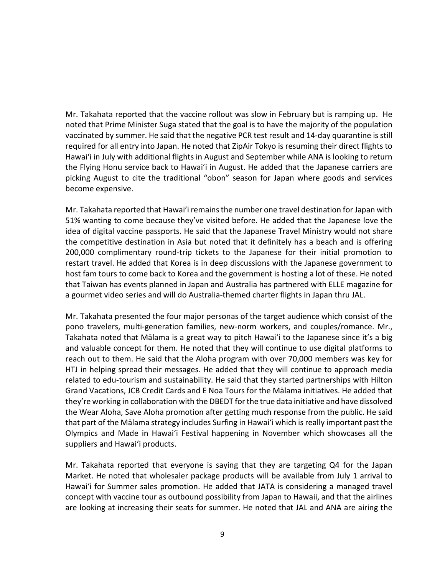Mr. Takahata reported that the vaccine rollout was slow in February but is ramping up. He noted that Prime Minister Suga stated that the goal is to have the majority of the population vaccinated by summer. He said that the negative PCR test result and 14-day quarantine is still required for all entry into Japan. He noted that ZipAir Tokyo is resuming their direct flights to Hawai'i in July with additional flights in August and September while ANA is looking to return the Flying Honu service back to Hawai'i in August. He added that the Japanese carriers are picking August to cite the traditional "obon" season for Japan where goods and services become expensive.

Mr. Takahata reported that Hawai'i remainsthe number one travel destination for Japan with 51% wanting to come because they've visited before. He added that the Japanese love the idea of digital vaccine passports. He said that the Japanese Travel Ministry would not share the competitive destination in Asia but noted that it definitely has a beach and is offering 200,000 complimentary round-trip tickets to the Japanese for their initial promotion to restart travel. He added that Korea is in deep discussions with the Japanese government to host fam tours to come back to Korea and the government is hosting a lot of these. He noted that Taiwan has events planned in Japan and Australia has partnered with ELLE magazine for a gourmet video series and will do Australia-themed charter flights in Japan thru JAL.

Mr. Takahata presented the four major personas of the target audience which consist of the pono travelers, multi-generation families, new-norm workers, and couples/romance. Mr., Takahata noted that Mālama is a great way to pitch Hawai'i to the Japanese since it's a big and valuable concept for them. He noted that they will continue to use digital platforms to reach out to them. He said that the Aloha program with over 70,000 members was key for HTJ in helping spread their messages. He added that they will continue to approach media related to edu-tourism and sustainability. He said that they started partnerships with Hilton Grand Vacations, JCB Credit Cards and E Noa Tours for the Mālama initiatives. He added that they're working in collaboration with the DBEDT for the true data initiative and have dissolved the Wear Aloha, Save Aloha promotion after getting much response from the public. He said that part of the Mālama strategy includes Surfing in Hawai'i which is really important past the Olympics and Made in Hawai'i Festival happening in November which showcases all the suppliers and Hawai'i products.

Mr. Takahata reported that everyone is saying that they are targeting Q4 for the Japan Market. He noted that wholesaler package products will be available from July 1 arrival to Hawai'i for Summer sales promotion. He added that JATA is considering a managed travel concept with vaccine tour as outbound possibility from Japan to Hawaii, and that the airlines are looking at increasing their seats for summer. He noted that JAL and ANA are airing the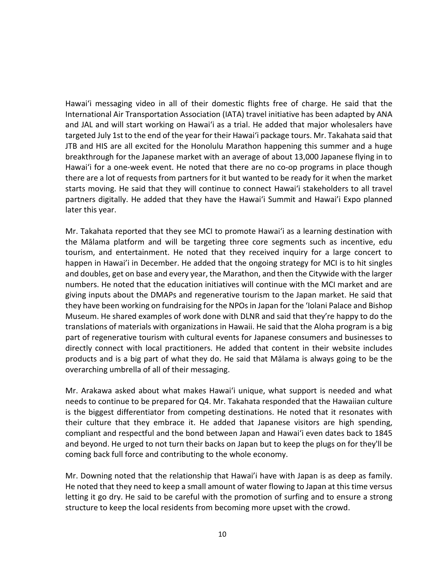Hawai'i messaging video in all of their domestic flights free of charge. He said that the International Air Transportation Association (IATA) travel initiative has been adapted by ANA and JAL and will start working on Hawai'i as a trial. He added that major wholesalers have targeted July 1st to the end of the year for their Hawai'i package tours. Mr. Takahata said that JTB and HIS are all excited for the Honolulu Marathon happening this summer and a huge breakthrough for the Japanese market with an average of about 13,000 Japanese flying in to Hawai'i for a one-week event. He noted that there are no co-op programs in place though there are a lot of requests from partners for it but wanted to be ready for it when the market starts moving. He said that they will continue to connect Hawai'i stakeholders to all travel partners digitally. He added that they have the Hawai'i Summit and Hawai'i Expo planned later this year.

Mr. Takahata reported that they see MCI to promote Hawai'i as a learning destination with the Mālama platform and will be targeting three core segments such as incentive, edu tourism, and entertainment. He noted that they received inquiry for a large concert to happen in Hawai'i in December. He added that the ongoing strategy for MCI is to hit singles and doubles, get on base and every year, the Marathon, and then the Citywide with the larger numbers. He noted that the education initiatives will continue with the MCI market and are giving inputs about the DMAPs and regenerative tourism to the Japan market. He said that they have been working on fundraising for the NPOs in Japan for the 'Iolani Palace and Bishop Museum. He shared examples of work done with DLNR and said that they're happy to do the translations of materials with organizations in Hawaii. He said that the Aloha program is a big part of regenerative tourism with cultural events for Japanese consumers and businesses to directly connect with local practitioners. He added that content in their website includes products and is a big part of what they do. He said that Mālama is always going to be the overarching umbrella of all of their messaging.

Mr. Arakawa asked about what makes Hawai'i unique, what support is needed and what needs to continue to be prepared for Q4. Mr. Takahata responded that the Hawaiian culture is the biggest differentiator from competing destinations. He noted that it resonates with their culture that they embrace it. He added that Japanese visitors are high spending, compliant and respectful and the bond between Japan and Hawai'i even dates back to 1845 and beyond. He urged to not turn their backs on Japan but to keep the plugs on for they'll be coming back full force and contributing to the whole economy.

Mr. Downing noted that the relationship that Hawai'i have with Japan is as deep as family. He noted that they need to keep a small amount of water flowing to Japan at this time versus letting it go dry. He said to be careful with the promotion of surfing and to ensure a strong structure to keep the local residents from becoming more upset with the crowd.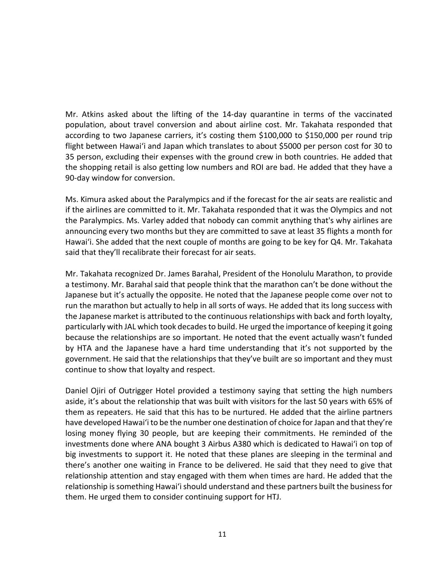Mr. Atkins asked about the lifting of the 14-day quarantine in terms of the vaccinated population, about travel conversion and about airline cost. Mr. Takahata responded that according to two Japanese carriers, it's costing them \$100,000 to \$150,000 per round trip flight between Hawai'i and Japan which translates to about \$5000 per person cost for 30 to 35 person, excluding their expenses with the ground crew in both countries. He added that the shopping retail is also getting low numbers and ROI are bad. He added that they have a 90-day window for conversion.

Ms. Kimura asked about the Paralympics and if the forecast for the air seats are realistic and if the airlines are committed to it. Mr. Takahata responded that it was the Olympics and not the Paralympics. Ms. Varley added that nobody can commit anything that's why airlines are announcing every two months but they are committed to save at least 35 flights a month for Hawai'i. She added that the next couple of months are going to be key for Q4. Mr. Takahata said that they'll recalibrate their forecast for air seats.

Mr. Takahata recognized Dr. James Barahal, President of the Honolulu Marathon, to provide a testimony. Mr. Barahal said that people think that the marathon can't be done without the Japanese but it's actually the opposite. He noted that the Japanese people come over not to run the marathon but actually to help in all sorts of ways. He added that its long success with the Japanese market is attributed to the continuous relationships with back and forth loyalty, particularly with JAL which took decades to build. He urged the importance of keeping it going because the relationships are so important. He noted that the event actually wasn't funded by HTA and the Japanese have a hard time understanding that it's not supported by the government. He said that the relationships that they've built are so important and they must continue to show that loyalty and respect.

Daniel Ojiri of Outrigger Hotel provided a testimony saying that setting the high numbers aside, it's about the relationship that was built with visitors for the last 50 years with 65% of them as repeaters. He said that this has to be nurtured. He added that the airline partners have developed Hawai'i to be the number one destination of choice for Japan and that they're losing money flying 30 people, but are keeping their commitments. He reminded of the investments done where ANA bought 3 Airbus A380 which is dedicated to Hawai'i on top of big investments to support it. He noted that these planes are sleeping in the terminal and there's another one waiting in France to be delivered. He said that they need to give that relationship attention and stay engaged with them when times are hard. He added that the relationship is something Hawai'i should understand and these partners built the business for them. He urged them to consider continuing support for HTJ.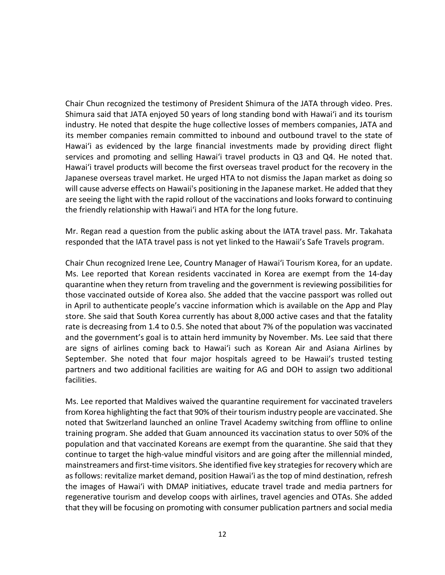Chair Chun recognized the testimony of President Shimura of the JATA through video. Pres. Shimura said that JATA enjoyed 50 years of long standing bond with Hawai'i and its tourism industry. He noted that despite the huge collective losses of members companies, JATA and its member companies remain committed to inbound and outbound travel to the state of Hawai'i as evidenced by the large financial investments made by providing direct flight services and promoting and selling Hawai'i travel products in Q3 and Q4. He noted that. Hawai'i travel products will become the first overseas travel product for the recovery in the Japanese overseas travel market. He urged HTA to not dismiss the Japan market as doing so will cause adverse effects on Hawaii's positioning in the Japanese market. He added that they are seeing the light with the rapid rollout of the vaccinations and looks forward to continuing the friendly relationship with Hawai'i and HTA for the long future.

Mr. Regan read a question from the public asking about the IATA travel pass. Mr. Takahata responded that the IATA travel pass is not yet linked to the Hawaii's Safe Travels program.

Chair Chun recognized Irene Lee, Country Manager of Hawai'i Tourism Korea, for an update. Ms. Lee reported that Korean residents vaccinated in Korea are exempt from the 14-day quarantine when they return from traveling and the government is reviewing possibilities for those vaccinated outside of Korea also. She added that the vaccine passport was rolled out in April to authenticate people's vaccine information which is available on the App and Play store. She said that South Korea currently has about 8,000 active cases and that the fatality rate is decreasing from 1.4 to 0.5. She noted that about 7% of the population was vaccinated and the government's goal is to attain herd immunity by November. Ms. Lee said that there are signs of airlines coming back to Hawai'i such as Korean Air and Asiana Airlines by September. She noted that four major hospitals agreed to be Hawaii's trusted testing partners and two additional facilities are waiting for AG and DOH to assign two additional facilities.

Ms. Lee reported that Maldives waived the quarantine requirement for vaccinated travelers from Korea highlighting the fact that 90% of their tourism industry people are vaccinated. She noted that Switzerland launched an online Travel Academy switching from offline to online training program. She added that Guam announced its vaccination status to over 50% of the population and that vaccinated Koreans are exempt from the quarantine. She said that they continue to target the high-value mindful visitors and are going after the millennial minded, mainstreamers and first-time visitors. She identified five key strategiesfor recovery which are as follows: revitalize market demand, position Hawai'i as the top of mind destination, refresh the images of Hawai'i with DMAP initiatives, educate travel trade and media partners for regenerative tourism and develop coops with airlines, travel agencies and OTAs. She added that they will be focusing on promoting with consumer publication partners and social media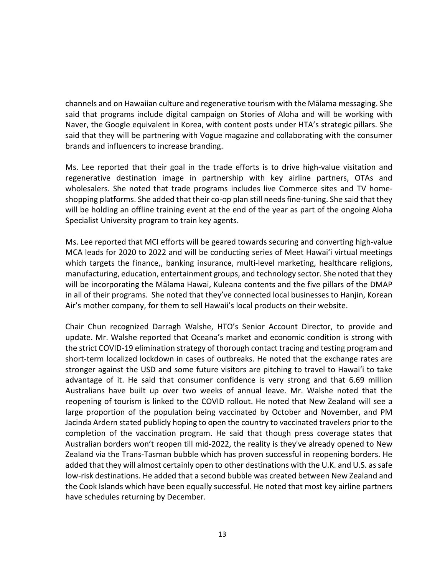channels and on Hawaiian culture and regenerative tourism with the Mālama messaging. She said that programs include digital campaign on Stories of Aloha and will be working with Naver, the Google equivalent in Korea, with content posts under HTA's strategic pillars. She said that they will be partnering with Vogue magazine and collaborating with the consumer brands and influencers to increase branding.

Ms. Lee reported that their goal in the trade efforts is to drive high-value visitation and regenerative destination image in partnership with key airline partners, OTAs and wholesalers. She noted that trade programs includes live Commerce sites and TV homeshopping platforms. She added that their co-op plan still needs fine-tuning. She said that they will be holding an offline training event at the end of the year as part of the ongoing Aloha Specialist University program to train key agents.

Ms. Lee reported that MCI efforts will be geared towards securing and converting high-value MCA leads for 2020 to 2022 and will be conducting series of Meet Hawai'i virtual meetings which targets the finance,, banking insurance, multi-level marketing, healthcare religions, manufacturing, education, entertainment groups, and technology sector. She noted that they will be incorporating the Mālama Hawai, Kuleana contents and the five pillars of the DMAP in all of their programs. She noted that they've connected local businesses to Hanjin, Korean Air's mother company, for them to sell Hawaii's local products on their website.

Chair Chun recognized Darragh Walshe, HTO's Senior Account Director, to provide and update. Mr. Walshe reported that Oceana's market and economic condition is strong with the strict COVID-19 elimination strategy of thorough contact tracing and testing program and short-term localized lockdown in cases of outbreaks. He noted that the exchange rates are stronger against the USD and some future visitors are pitching to travel to Hawai'i to take advantage of it. He said that consumer confidence is very strong and that 6.69 million Australians have built up over two weeks of annual leave. Mr. Walshe noted that the reopening of tourism is linked to the COVID rollout. He noted that New Zealand will see a large proportion of the population being vaccinated by October and November, and PM Jacinda Ardern stated publicly hoping to open the country to vaccinated travelers prior to the completion of the vaccination program. He said that though press coverage states that Australian borders won't reopen till mid-2022, the reality is they've already opened to New Zealand via the Trans-Tasman bubble which has proven successful in reopening borders. He added that they will almost certainly open to other destinations with the U.K. and U.S. as safe low-risk destinations. He added that a second bubble was created between New Zealand and the Cook Islands which have been equally successful. He noted that most key airline partners have schedules returning by December.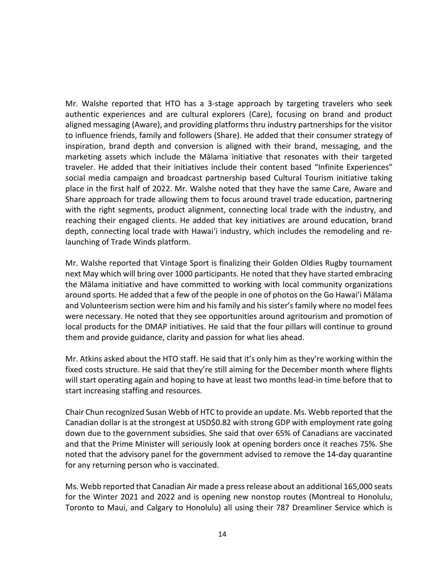Mr. Walshe reported that HTO has a 3-stage approach by targeting travelers who seek authentic experiences and are cultural explorers (Care), focusing on brand and product aligned messaging (Aware), and providing platforms thru industry partnerships for the visitor to influence friends, family and followers (Share). He added that their consumer strategy of inspiration, brand depth and conversion is aligned with their brand, messaging, and the marketing assets which include the Mālama initiative that resonates with their targeted traveler. He added that their initiatives include their content based "Infinite Experiences" social media campaign and broadcast partnership based Cultural Tourism initiative taking place in the first half of 2022. Mr. Walshe noted that they have the same Care, Aware and Share approach for trade allowing them to focus around travel trade education, partnering with the right segments, product alignment, connecting local trade with the industry, and reaching their engaged clients. He added that key initiatives are around education, brand depth, connecting local trade with Hawai'i industry, which includes the remodeling and relaunching of Trade Winds platform.

Mr. Walshe reported that Vintage Sport is finalizing their Golden Oldies Rugby tournament next May which will bring over 1000 participants. He noted that they have started embracing the Mālama initiative and have committed to working with local community organizations around sports. He added that a few of the people in one of photos on the Go Hawai'i Mālama and Volunteerism section were him and his family and his sister's family where no model fees were necessary. He noted that they see opportunities around agritourism and promotion of local products for the DMAP initiatives. He said that the four pillars will continue to ground them and provide guidance, clarity and passion for what lies ahead.

Mr. Atkins asked about the HTO staff. He said that it's only him as they're working within the fixed costs structure. He said that they're still aiming for the December month where flights will start operating again and hoping to have at least two months lead-in time before that to start increasing staffing and resources.

Chair Chun recognized Susan Webb of HTC to provide an update. Ms. Webb reported that the Canadian dollar is at the strongest at USD\$0.82 with strong GDP with employment rate going down due to the government subsidies. She said that over 65% of Canadians are vaccinated and that the Prime Minister will seriously look at opening borders once it reaches 75%. She noted that the advisory panel for the government advised to remove the 14-day quarantine for any returning person who is vaccinated.

Ms. Webb reported that Canadian Air made a press release about an additional 165,000 seats for the Winter 2021 and 2022 and is opening new nonstop routes (Montreal to Honolulu, Toronto to Maui, and Calgary to Honolulu) all using their 787 Dreamliner Service which is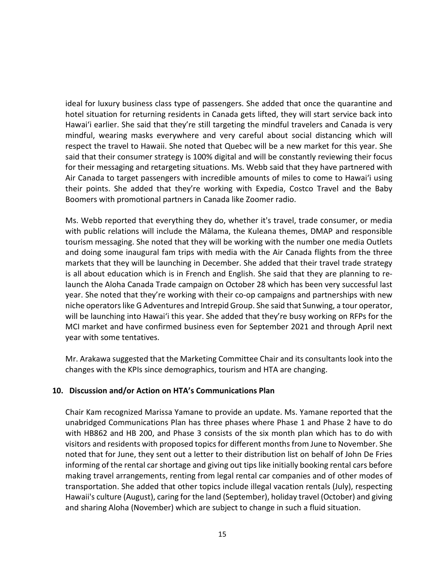ideal for luxury business class type of passengers. She added that once the quarantine and hotel situation for returning residents in Canada gets lifted, they will start service back into Hawai'i earlier. She said that they're still targeting the mindful travelers and Canada is very mindful, wearing masks everywhere and very careful about social distancing which will respect the travel to Hawaii. She noted that Quebec will be a new market for this year. She said that their consumer strategy is 100% digital and will be constantly reviewing their focus for their messaging and retargeting situations. Ms. Webb said that they have partnered with Air Canada to target passengers with incredible amounts of miles to come to Hawai'i using their points. She added that they're working with Expedia, Costco Travel and the Baby Boomers with promotional partners in Canada like Zoomer radio.

Ms. Webb reported that everything they do, whether it's travel, trade consumer, or media with public relations will include the Mālama, the Kuleana themes, DMAP and responsible tourism messaging. She noted that they will be working with the number one media Outlets and doing some inaugural fam trips with media with the Air Canada flights from the three markets that they will be launching in December. She added that their travel trade strategy is all about education which is in French and English. She said that they are planning to relaunch the Aloha Canada Trade campaign on October 28 which has been very successful last year. She noted that they're working with their co-op campaigns and partnerships with new niche operators like G Adventures and Intrepid Group. She said that Sunwing, a tour operator, will be launching into Hawai'i this year. She added that they're busy working on RFPs for the MCI market and have confirmed business even for September 2021 and through April next year with some tentatives.

Mr. Arakawa suggested that the Marketing Committee Chair and its consultants look into the changes with the KPIs since demographics, tourism and HTA are changing.

## **10. Discussion and/or Action on HTA's Communications Plan**

Chair Kam recognized Marissa Yamane to provide an update. Ms. Yamane reported that the unabridged Communications Plan has three phases where Phase 1 and Phase 2 have to do with HB862 and HB 200, and Phase 3 consists of the six month plan which has to do with visitors and residents with proposed topics for different months from June to November. She noted that for June, they sent out a letter to their distribution list on behalf of John De Fries informing of the rental car shortage and giving out tips like initially booking rental cars before making travel arrangements, renting from legal rental car companies and of other modes of transportation. She added that other topics include illegal vacation rentals (July), respecting Hawaii's culture (August), caring for the land (September), holiday travel (October) and giving and sharing Aloha (November) which are subject to change in such a fluid situation.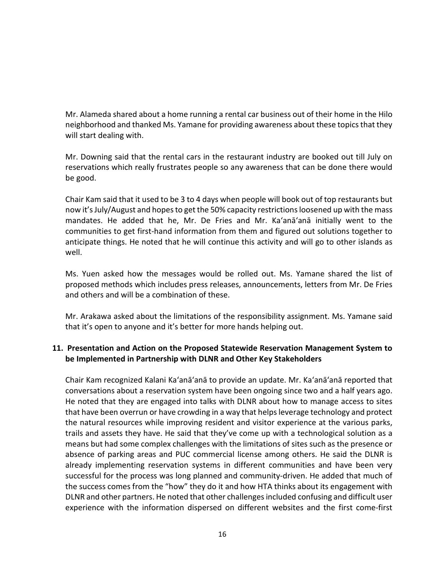Mr. Alameda shared about a home running a rental car business out of their home in the Hilo neighborhood and thanked Ms. Yamane for providing awareness about these topics that they will start dealing with.

Mr. Downing said that the rental cars in the restaurant industry are booked out till July on reservations which really frustrates people so any awareness that can be done there would be good.

Chair Kam said that it used to be 3 to 4 days when people will book out of top restaurants but now it's July/August and hopes to get the 50% capacity restrictions loosened up with the mass mandates. He added that he, Mr. De Fries and Mr. Ka'anā'anā initially went to the communities to get first-hand information from them and figured out solutions together to anticipate things. He noted that he will continue this activity and will go to other islands as well.

Ms. Yuen asked how the messages would be rolled out. Ms. Yamane shared the list of proposed methods which includes press releases, announcements, letters from Mr. De Fries and others and will be a combination of these.

Mr. Arakawa asked about the limitations of the responsibility assignment. Ms. Yamane said that it's open to anyone and it's better for more hands helping out.

# **11. Presentation and Action on the Proposed Statewide Reservation Management System to be Implemented in Partnership with DLNR and Other Key Stakeholders**

Chair Kam recognized Kalani Ka'anā'anā to provide an update. Mr. Ka'anā'anā reported that conversations about a reservation system have been ongoing since two and a half years ago. He noted that they are engaged into talks with DLNR about how to manage access to sites that have been overrun or have crowding in a way that helps leverage technology and protect the natural resources while improving resident and visitor experience at the various parks, trails and assets they have. He said that they've come up with a technological solution as a means but had some complex challenges with the limitations of sites such as the presence or absence of parking areas and PUC commercial license among others. He said the DLNR is already implementing reservation systems in different communities and have been very successful for the process was long planned and community-driven. He added that much of the success comes from the "how" they do it and how HTA thinks about its engagement with DLNR and other partners. He noted that other challenges included confusing and difficult user experience with the information dispersed on different websites and the first come-first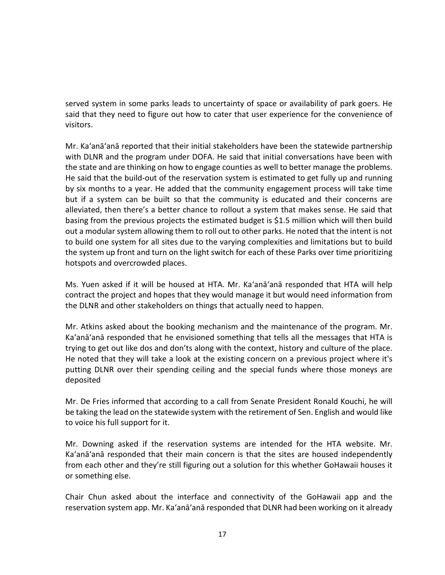served system in some parks leads to uncertainty of space or availability of park goers. He said that they need to figure out how to cater that user experience for the convenience of visitors.

Mr. Ka'anā'anā reported that their initial stakeholders have been the statewide partnership with DLNR and the program under DOFA. He said that initial conversations have been with the state and are thinking on how to engage counties as well to better manage the problems. He said that the build-out of the reservation system is estimated to get fully up and running by six months to a year. He added that the community engagement process will take time but if a system can be built so that the community is educated and their concerns are alleviated, then there's a better chance to rollout a system that makes sense. He said that basing from the previous projects the estimated budget is \$1.5 million which will then build out a modular system allowing them to roll out to other parks. He noted that the intent is not to build one system for all sites due to the varying complexities and limitations but to build the system up front and turn on the light switch for each of these Parks over time prioritizing hotspots and overcrowded places.

Ms. Yuen asked if it will be housed at HTA. Mr. Ka'anā'anā responded that HTA will help contract the project and hopes that they would manage it but would need information from the DLNR and other stakeholders on things that actually need to happen.

Mr. Atkins asked about the booking mechanism and the maintenance of the program. Mr. Ka'anā'anā responded that he envisioned something that tells all the messages that HTA is trying to get out like dos and don'ts along with the context, history and culture of the place. He noted that they will take a look at the existing concern on a previous project where it's putting DLNR over their spending ceiling and the special funds where those moneys are deposited

Mr. De Fries informed that according to a call from Senate President Ronald Kouchi, he will be taking the lead on the statewide system with the retirement of Sen. English and would like to voice his full support for it.

Mr. Downing asked if the reservation systems are intended for the HTA website. Mr. Ka'anā'anā responded that their main concern is that the sites are housed independently from each other and they're still figuring out a solution for this whether GoHawaii houses it or something else.

Chair Chun asked about the interface and connectivity of the GoHawaii app and the reservation system app. Mr. Ka'anā'anā responded that DLNR had been working on it already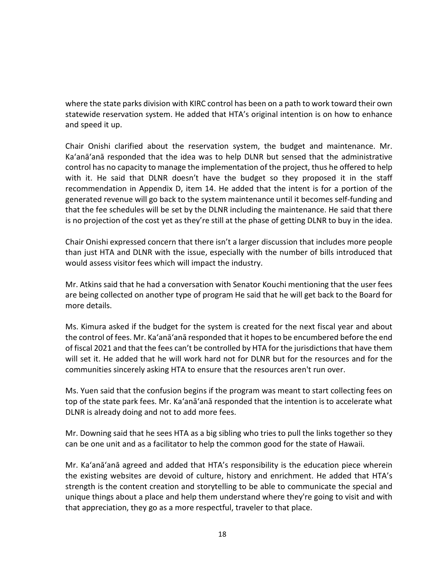where the state parks division with KIRC control has been on a path to work toward their own statewide reservation system. He added that HTA's original intention is on how to enhance and speed it up.

Chair Onishi clarified about the reservation system, the budget and maintenance. Mr. Ka'anā'anā responded that the idea was to help DLNR but sensed that the administrative control has no capacity to manage the implementation of the project, thus he offered to help with it. He said that DLNR doesn't have the budget so they proposed it in the staff recommendation in Appendix D, item 14. He added that the intent is for a portion of the generated revenue will go back to the system maintenance until it becomes self-funding and that the fee schedules will be set by the DLNR including the maintenance. He said that there is no projection of the cost yet as they're still at the phase of getting DLNR to buy in the idea.

Chair Onishi expressed concern that there isn't a larger discussion that includes more people than just HTA and DLNR with the issue, especially with the number of bills introduced that would assess visitor fees which will impact the industry.

Mr. Atkins said that he had a conversation with Senator Kouchi mentioning that the user fees are being collected on another type of program He said that he will get back to the Board for more details.

Ms. Kimura asked if the budget for the system is created for the next fiscal year and about the control of fees. Mr. Ka'anā'anā responded that it hopes to be encumbered before the end of fiscal 2021 and that the fees can't be controlled by HTA for the jurisdictions that have them will set it. He added that he will work hard not for DLNR but for the resources and for the communities sincerely asking HTA to ensure that the resources aren't run over.

Ms. Yuen said that the confusion begins if the program was meant to start collecting fees on top of the state park fees. Mr. Ka'anā'anā responded that the intention is to accelerate what DLNR is already doing and not to add more fees.

Mr. Downing said that he sees HTA as a big sibling who tries to pull the links together so they can be one unit and as a facilitator to help the common good for the state of Hawaii.

Mr. Ka'anā'anā agreed and added that HTA's responsibility is the education piece wherein the existing websites are devoid of culture, history and enrichment. He added that HTA's strength is the content creation and storytelling to be able to communicate the special and unique things about a place and help them understand where they're going to visit and with that appreciation, they go as a more respectful, traveler to that place.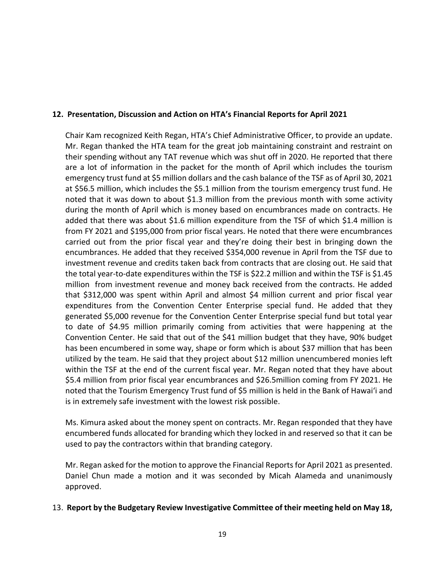### **12. Presentation, Discussion and Action on HTA's Financial Reports for April 2021**

Chair Kam recognized Keith Regan, HTA's Chief Administrative Officer, to provide an update. Mr. Regan thanked the HTA team for the great job maintaining constraint and restraint on their spending without any TAT revenue which was shut off in 2020. He reported that there are a lot of information in the packet for the month of April which includes the tourism emergency trust fund at \$5 million dollars and the cash balance of the TSF as of April 30, 2021 at \$56.5 million, which includes the \$5.1 million from the tourism emergency trust fund. He noted that it was down to about \$1.3 million from the previous month with some activity during the month of April which is money based on encumbrances made on contracts. He added that there was about \$1.6 million expenditure from the TSF of which \$1.4 million is from FY 2021 and \$195,000 from prior fiscal years. He noted that there were encumbrances carried out from the prior fiscal year and they're doing their best in bringing down the encumbrances. He added that they received \$354,000 revenue in April from the TSF due to investment revenue and credits taken back from contracts that are closing out. He said that the total year-to-date expenditures within the TSF is \$22.2 million and within the TSF is \$1.45 million from investment revenue and money back received from the contracts. He added that \$312,000 was spent within April and almost \$4 million current and prior fiscal year expenditures from the Convention Center Enterprise special fund. He added that they generated \$5,000 revenue for the Convention Center Enterprise special fund but total year to date of \$4.95 million primarily coming from activities that were happening at the Convention Center. He said that out of the \$41 million budget that they have, 90% budget has been encumbered in some way, shape or form which is about \$37 million that has been utilized by the team. He said that they project about \$12 million unencumbered monies left within the TSF at the end of the current fiscal year. Mr. Regan noted that they have about \$5.4 million from prior fiscal year encumbrances and \$26.5million coming from FY 2021. He noted that the Tourism Emergency Trust fund of \$5 million is held in the Bank of Hawai'i and is in extremely safe investment with the lowest risk possible.

Ms. Kimura asked about the money spent on contracts. Mr. Regan responded that they have encumbered funds allocated for branding which they locked in and reserved so that it can be used to pay the contractors within that branding category.

Mr. Regan asked for the motion to approve the Financial Reports for April 2021 as presented. Daniel Chun made a motion and it was seconded by Micah Alameda and unanimously approved.

#### 13. **Report by the Budgetary Review Investigative Committee of their meeting held on May 18,**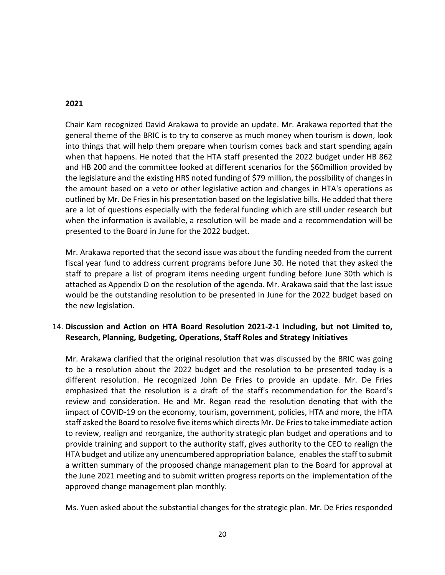#### **2021**

Chair Kam recognized David Arakawa to provide an update. Mr. Arakawa reported that the general theme of the BRIC is to try to conserve as much money when tourism is down, look into things that will help them prepare when tourism comes back and start spending again when that happens. He noted that the HTA staff presented the 2022 budget under HB 862 and HB 200 and the committee looked at different scenarios for the \$60million provided by the legislature and the existing HRS noted funding of \$79 million, the possibility of changes in the amount based on a veto or other legislative action and changes in HTA's operations as outlined by Mr. De Fries in his presentation based on the legislative bills. He added that there are a lot of questions especially with the federal funding which are still under research but when the information is available, a resolution will be made and a recommendation will be presented to the Board in June for the 2022 budget.

Mr. Arakawa reported that the second issue was about the funding needed from the current fiscal year fund to address current programs before June 30. He noted that they asked the staff to prepare a list of program items needing urgent funding before June 30th which is attached as Appendix D on the resolution of the agenda. Mr. Arakawa said that the last issue would be the outstanding resolution to be presented in June for the 2022 budget based on the new legislation.

## 14. **Discussion and Action on HTA Board Resolution 2021-2-1 including, but not Limited to, Research, Planning, Budgeting, Operations, Staff Roles and Strategy Initiatives**

Mr. Arakawa clarified that the original resolution that was discussed by the BRIC was going to be a resolution about the 2022 budget and the resolution to be presented today is a different resolution. He recognized John De Fries to provide an update. Mr. De Fries emphasized that the resolution is a draft of the staff's recommendation for the Board's review and consideration. He and Mr. Regan read the resolution denoting that with the impact of COVID-19 on the economy, tourism, government, policies, HTA and more, the HTA staff asked the Board to resolve five items which directs Mr. De Fries to take immediate action to review, realign and reorganize, the authority strategic plan budget and operations and to provide training and support to the authority staff, gives authority to the CEO to realign the HTA budget and utilize any unencumbered appropriation balance, enables the staff to submit a written summary of the proposed change management plan to the Board for approval at the June 2021 meeting and to submit written progress reports on the implementation of the approved change management plan monthly.

Ms. Yuen asked about the substantial changes for the strategic plan. Mr. De Fries responded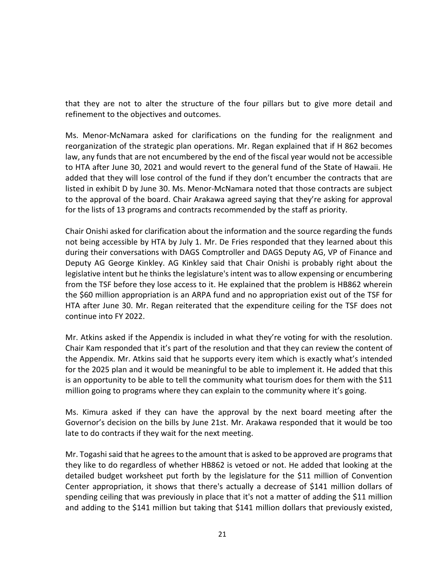that they are not to alter the structure of the four pillars but to give more detail and refinement to the objectives and outcomes.

Ms. Menor-McNamara asked for clarifications on the funding for the realignment and reorganization of the strategic plan operations. Mr. Regan explained that if H 862 becomes law, any funds that are not encumbered by the end of the fiscal year would not be accessible to HTA after June 30, 2021 and would revert to the general fund of the State of Hawaii. He added that they will lose control of the fund if they don't encumber the contracts that are listed in exhibit D by June 30. Ms. Menor-McNamara noted that those contracts are subject to the approval of the board. Chair Arakawa agreed saying that they're asking for approval for the lists of 13 programs and contracts recommended by the staff as priority.

Chair Onishi asked for clarification about the information and the source regarding the funds not being accessible by HTA by July 1. Mr. De Fries responded that they learned about this during their conversations with DAGS Comptroller and DAGS Deputy AG, VP of Finance and Deputy AG George Kinkley. AG Kinkley said that Chair Onishi is probably right about the legislative intent but he thinks the legislature's intent was to allow expensing or encumbering from the TSF before they lose access to it. He explained that the problem is HB862 wherein the \$60 million appropriation is an ARPA fund and no appropriation exist out of the TSF for HTA after June 30. Mr. Regan reiterated that the expenditure ceiling for the TSF does not continue into FY 2022.

Mr. Atkins asked if the Appendix is included in what they're voting for with the resolution. Chair Kam responded that it's part of the resolution and that they can review the content of the Appendix. Mr. Atkins said that he supports every item which is exactly what's intended for the 2025 plan and it would be meaningful to be able to implement it. He added that this is an opportunity to be able to tell the community what tourism does for them with the \$11 million going to programs where they can explain to the community where it's going.

Ms. Kimura asked if they can have the approval by the next board meeting after the Governor's decision on the bills by June 21st. Mr. Arakawa responded that it would be too late to do contracts if they wait for the next meeting.

Mr. Togashi said that he agrees to the amount that is asked to be approved are programs that they like to do regardless of whether HB862 is vetoed or not. He added that looking at the detailed budget worksheet put forth by the legislature for the \$11 million of Convention Center appropriation, it shows that there's actually a decrease of \$141 million dollars of spending ceiling that was previously in place that it's not a matter of adding the \$11 million and adding to the \$141 million but taking that \$141 million dollars that previously existed,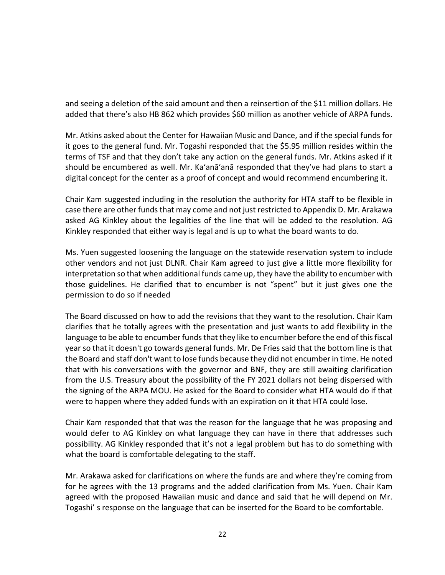and seeing a deletion of the said amount and then a reinsertion of the \$11 million dollars. He added that there's also HB 862 which provides \$60 million as another vehicle of ARPA funds.

Mr. Atkins asked about the Center for Hawaiian Music and Dance, and if the special funds for it goes to the general fund. Mr. Togashi responded that the \$5.95 million resides within the terms of TSF and that they don't take any action on the general funds. Mr. Atkins asked if it should be encumbered as well. Mr. Ka'anā'anā responded that they've had plans to start a digital concept for the center as a proof of concept and would recommend encumbering it.

Chair Kam suggested including in the resolution the authority for HTA staff to be flexible in case there are other funds that may come and not just restricted to Appendix D. Mr. Arakawa asked AG Kinkley about the legalities of the line that will be added to the resolution. AG Kinkley responded that either way is legal and is up to what the board wants to do.

Ms. Yuen suggested loosening the language on the statewide reservation system to include other vendors and not just DLNR. Chair Kam agreed to just give a little more flexibility for interpretation so that when additional funds came up, they have the ability to encumber with those guidelines. He clarified that to encumber is not "spent" but it just gives one the permission to do so if needed

The Board discussed on how to add the revisions that they want to the resolution. Chair Kam clarifies that he totally agrees with the presentation and just wants to add flexibility in the language to be able to encumber funds that they like to encumber before the end of this fiscal year so that it doesn't go towards general funds. Mr. De Fries said that the bottom line is that the Board and staff don't want to lose funds because they did not encumber in time. He noted that with his conversations with the governor and BNF, they are still awaiting clarification from the U.S. Treasury about the possibility of the FY 2021 dollars not being dispersed with the signing of the ARPA MOU. He asked for the Board to consider what HTA would do if that were to happen where they added funds with an expiration on it that HTA could lose.

Chair Kam responded that that was the reason for the language that he was proposing and would defer to AG Kinkley on what language they can have in there that addresses such possibility. AG Kinkley responded that it's not a legal problem but has to do something with what the board is comfortable delegating to the staff.

Mr. Arakawa asked for clarifications on where the funds are and where they're coming from for he agrees with the 13 programs and the added clarification from Ms. Yuen. Chair Kam agreed with the proposed Hawaiian music and dance and said that he will depend on Mr. Togashi' s response on the language that can be inserted for the Board to be comfortable.